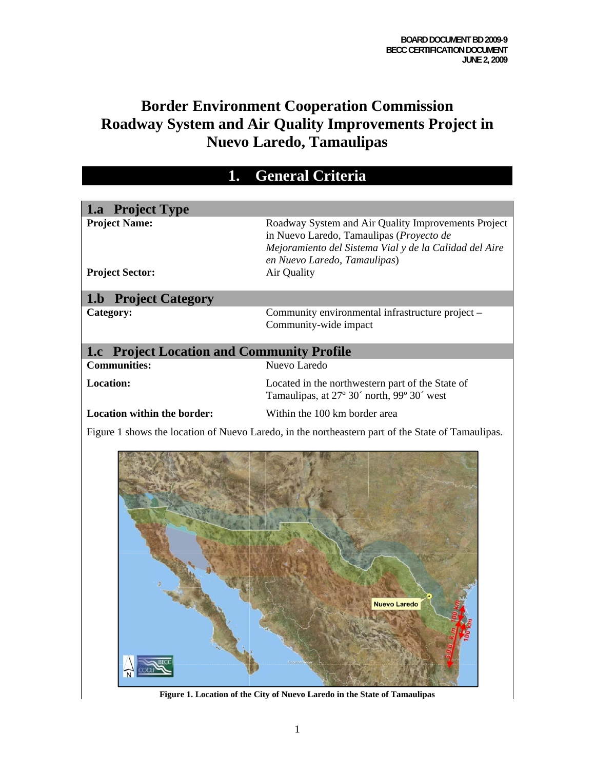# **Border Environment Cooperation Commission Roadway System and Air Quality Improvements Project in Nuevo Laredo, Tamaulipas**

| <b>General Criteria</b>                           |                                                                                                                                                                                                          |  |
|---------------------------------------------------|----------------------------------------------------------------------------------------------------------------------------------------------------------------------------------------------------------|--|
|                                                   |                                                                                                                                                                                                          |  |
| 1.a Project Type                                  |                                                                                                                                                                                                          |  |
| <b>Project Name:</b><br><b>Project Sector:</b>    | Roadway System and Air Quality Improvements Project<br>in Nuevo Laredo, Tamaulipas (Proyecto de<br>Mejoramiento del Sistema Vial y de la Calidad del Aire<br>en Nuevo Laredo, Tamaulipas)<br>Air Quality |  |
| <b>1.b Project Category</b>                       |                                                                                                                                                                                                          |  |
| Category:                                         | Community environmental infrastructure project -<br>Community-wide impact                                                                                                                                |  |
| <b>1.c</b> Project Location and Community Profile |                                                                                                                                                                                                          |  |
| <b>Communities:</b>                               | Nuevo Laredo                                                                                                                                                                                             |  |
| <b>Location:</b>                                  | Located in the northwestern part of the State of<br>Tamaulipas, at 27° 30' north, 99° 30' west                                                                                                           |  |
| <b>Location within the border:</b>                | Within the 100 km border area                                                                                                                                                                            |  |
|                                                   | Figure 1 shows the location of Nuevo Laredo, in the northeastern part of the State of Tamaulipas.                                                                                                        |  |
|                                                   | <b>Nuevo Laredo</b><br>Figure 1. Location of the City of Nuevo Laredo in the State of Tamaulipas                                                                                                         |  |

**Figure 1. Location of the City of Nuevo Laredo in the State of Tamaulipas**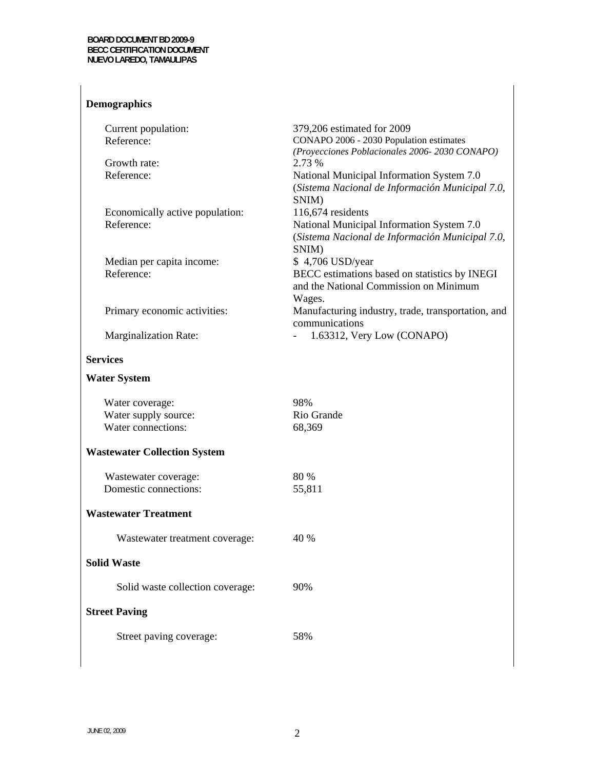**Demographics** 

### Current population: Reference: 379,206 estimated for 2009 CONAPO 2006 - 2030 Population estimates *(Proyecciones Poblacionales 2006- 2030 CONAPO)*  Growth rate: 2.73 % Reference: National Municipal Information System 7.0 (*Sistema Nacional de Información Municipal 7.0*, SNIM) Economically active population: 116,674 residents Reference: National Municipal Information System 7.0 (*Sistema Nacional de Información Municipal 7.0*, SNIM) Median per capita income: \$ 4,706 USD/year Reference: BECC estimations based on statistics by INEGI and the National Commission on Minimum Wages. Primary economic activities: Manufacturing industry, trade, transportation, and communications Marginalization Rate:  $1.63312$ , Very Low (CONAPO) **Services Water System**  Water coverage: Water supply source: Water connections: **Wastewater Collection System**  Wastewater coverage: Domestic connections: **Wastewater Treatment**  Wastewater treatment coverage: **Solid Waste**  Solid waste collection coverage: **Street Paving**  98% Rio Grande 68,369 80 % 55,811 40 % 90%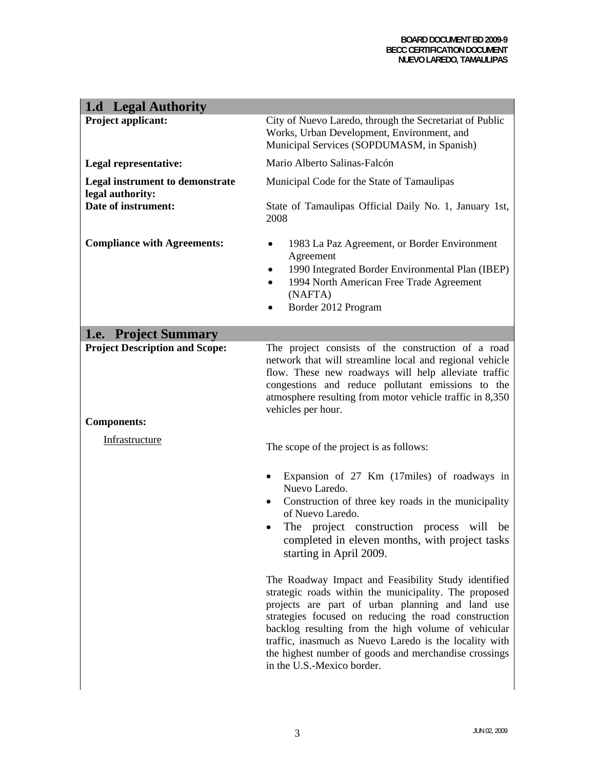#### **BOARD DOCUMENT BD 2009-9 BECC CERTIFICATION DOCUMENT NUEVO LAREDO, TAMAULIPAS**

| 1.d Legal Authority                                         |                                                                                                                                                                                                                                                                                                                                                                                                                                  |  |
|-------------------------------------------------------------|----------------------------------------------------------------------------------------------------------------------------------------------------------------------------------------------------------------------------------------------------------------------------------------------------------------------------------------------------------------------------------------------------------------------------------|--|
| Project applicant:                                          | City of Nuevo Laredo, through the Secretariat of Public<br>Works, Urban Development, Environment, and<br>Municipal Services (SOPDUMASM, in Spanish)                                                                                                                                                                                                                                                                              |  |
| Legal representative:                                       | Mario Alberto Salinas-Falcón                                                                                                                                                                                                                                                                                                                                                                                                     |  |
| <b>Legal instrument to demonstrate</b><br>legal authority:  | Municipal Code for the State of Tamaulipas                                                                                                                                                                                                                                                                                                                                                                                       |  |
| Date of instrument:                                         | State of Tamaulipas Official Daily No. 1, January 1st,<br>2008                                                                                                                                                                                                                                                                                                                                                                   |  |
| <b>Compliance with Agreements:</b>                          | 1983 La Paz Agreement, or Border Environment<br>٠<br>Agreement<br>1990 Integrated Border Environmental Plan (IBEP)<br>1994 North American Free Trade Agreement<br>(NAFTA)<br>Border 2012 Program                                                                                                                                                                                                                                 |  |
| 1.e. Project Summary                                        |                                                                                                                                                                                                                                                                                                                                                                                                                                  |  |
| <b>Project Description and Scope:</b><br><b>Components:</b> | The project consists of the construction of a road<br>network that will streamline local and regional vehicle<br>flow. These new roadways will help alleviate traffic<br>congestions and reduce pollutant emissions to the<br>atmosphere resulting from motor vehicle traffic in 8,350<br>vehicles per hour.                                                                                                                     |  |
| Infrastructure                                              | The scope of the project is as follows:                                                                                                                                                                                                                                                                                                                                                                                          |  |
|                                                             | Expansion of 27 Km (17miles) of roadways in<br>٠<br>Nuevo Laredo.<br>Construction of three key roads in the municipality<br>of Nuevo Laredo.<br>The project construction process will<br>be<br>completed in eleven months, with project tasks<br>starting in April 2009.                                                                                                                                                         |  |
|                                                             | The Roadway Impact and Feasibility Study identified<br>strategic roads within the municipality. The proposed<br>projects are part of urban planning and land use<br>strategies focused on reducing the road construction<br>backlog resulting from the high volume of vehicular<br>traffic, inasmuch as Nuevo Laredo is the locality with<br>the highest number of goods and merchandise crossings<br>in the U.S.-Mexico border. |  |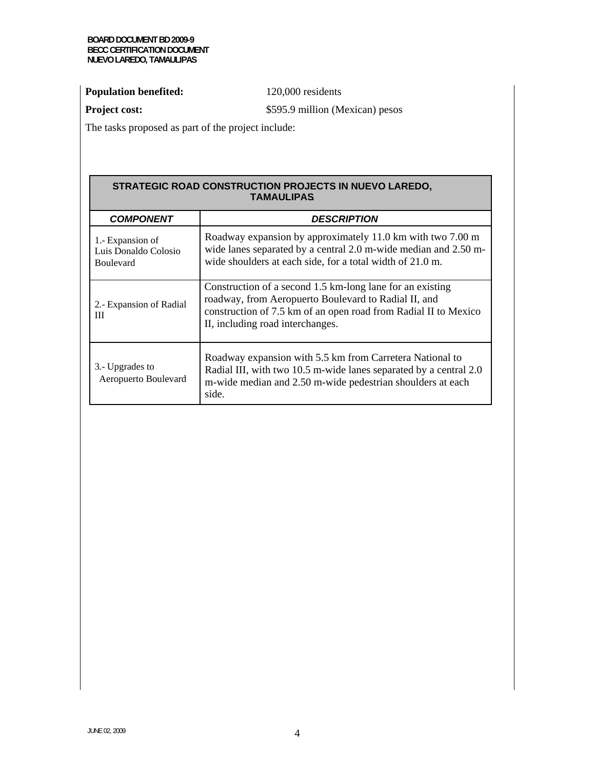### **Population benefited:** 120,000 residents

**Project cost:**  $$595.9$  million (Mexican) pesos

The tasks proposed as part of the project include:

#### **STRATEGIC ROAD CONSTRUCTION PROJECTS IN NUEVO LAREDO, TAMAULIPAS.**

| <b>COMPONENT</b>                                             | <b>DESCRIPTION</b>                                                                                                                                                                                                       |
|--------------------------------------------------------------|--------------------------------------------------------------------------------------------------------------------------------------------------------------------------------------------------------------------------|
| 1.- Expansion of<br>Luis Donaldo Colosio<br><b>Boulevard</b> | Roadway expansion by approximately 11.0 km with two 7.00 m<br>wide lanes separated by a central 2.0 m-wide median and 2.50 m-<br>wide shoulders at each side, for a total width of 21.0 m.                               |
| 2. Expansion of Radial<br>Ш                                  | Construction of a second 1.5 km-long lane for an existing<br>roadway, from Aeropuerto Boulevard to Radial II, and<br>construction of 7.5 km of an open road from Radial II to Mexico<br>II, including road interchanges. |
| 3.- Upgrades to<br>Aeropuerto Boulevard                      | Roadway expansion with 5.5 km from Carretera National to<br>Radial III, with two 10.5 m-wide lanes separated by a central 2.0<br>m-wide median and 2.50 m-wide pedestrian shoulders at each<br>side.                     |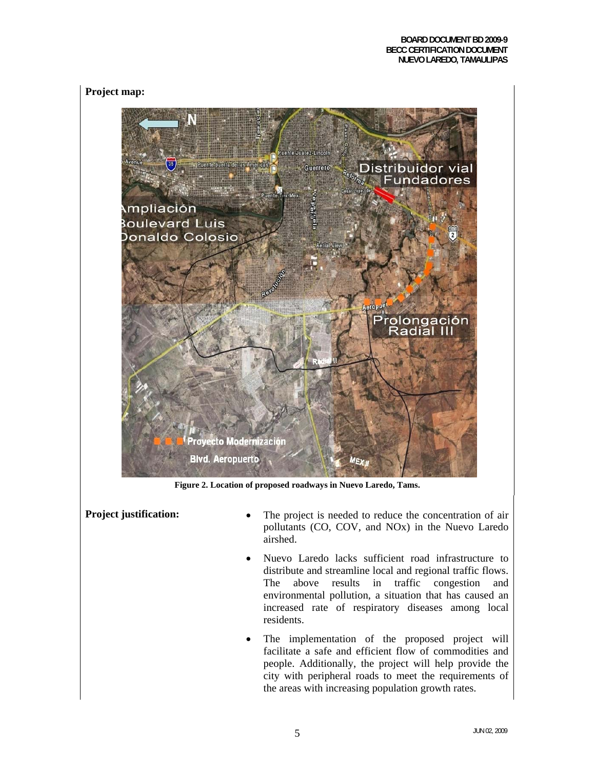### **Project map:**



**Figure 2. Location of proposed roadways in Nuevo Laredo, Tams.** 

- **Project justification:** The project is needed to reduce the concentration of air pollutants (CO, COV, and NOx) in the Nuevo Laredo airshed.
	- Nuevo Laredo lacks sufficient road infrastructure to distribute and streamline local and regional traffic flows. The above results in traffic congestion and environmental pollution, a situation that has caused an increased rate of respiratory diseases among local residents.
	- The implementation of the proposed project will facilitate a safe and efficient flow of commodities and people. Additionally, the project will help provide the city with peripheral roads to meet the requirements of the areas with increasing population growth rates.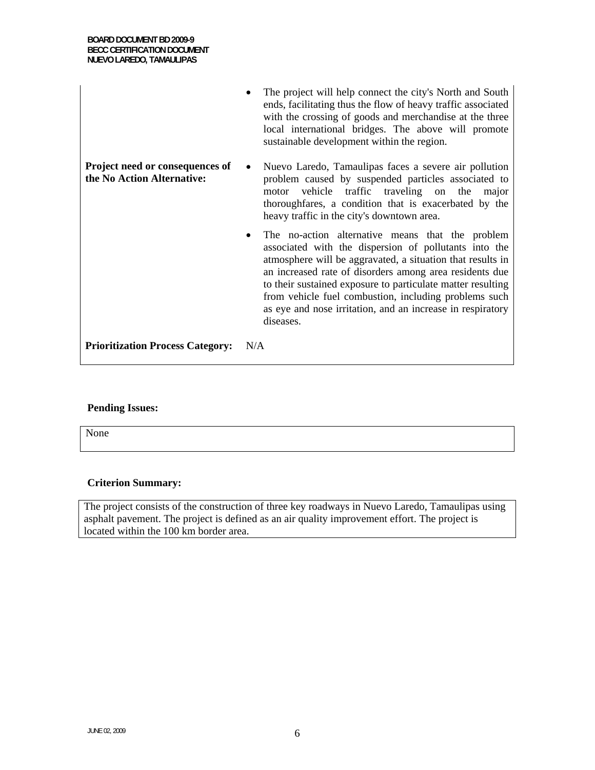|                                                               | The project will help connect the city's North and South<br>$\bullet$<br>ends, facilitating thus the flow of heavy traffic associated<br>with the crossing of goods and merchandise at the three<br>local international bridges. The above will promote<br>sustainable development within the region.                                                                                                                                              |
|---------------------------------------------------------------|----------------------------------------------------------------------------------------------------------------------------------------------------------------------------------------------------------------------------------------------------------------------------------------------------------------------------------------------------------------------------------------------------------------------------------------------------|
| Project need or consequences of<br>the No Action Alternative: | Nuevo Laredo, Tamaulipas faces a severe air pollution<br>$\bullet$<br>problem caused by suspended particles associated to<br>vehicle traffic traveling on the<br>motor<br>major<br>thoroughfares, a condition that is exacerbated by the<br>heavy traffic in the city's downtown area.                                                                                                                                                             |
|                                                               | The no-action alternative means that the problem<br>$\bullet$<br>associated with the dispersion of pollutants into the<br>atmosphere will be aggravated, a situation that results in<br>an increased rate of disorders among area residents due<br>to their sustained exposure to particulate matter resulting<br>from vehicle fuel combustion, including problems such<br>as eye and nose irritation, and an increase in respiratory<br>diseases. |
| <b>Prioritization Process Category:</b>                       | N/A                                                                                                                                                                                                                                                                                                                                                                                                                                                |

### **Pending Issues:**

None

### **Criterion Summary:**

The project consists of the construction of three key roadways in Nuevo Laredo, Tamaulipas using asphalt pavement. The project is defined as an air quality improvement effort. The project is located within the 100 km border area.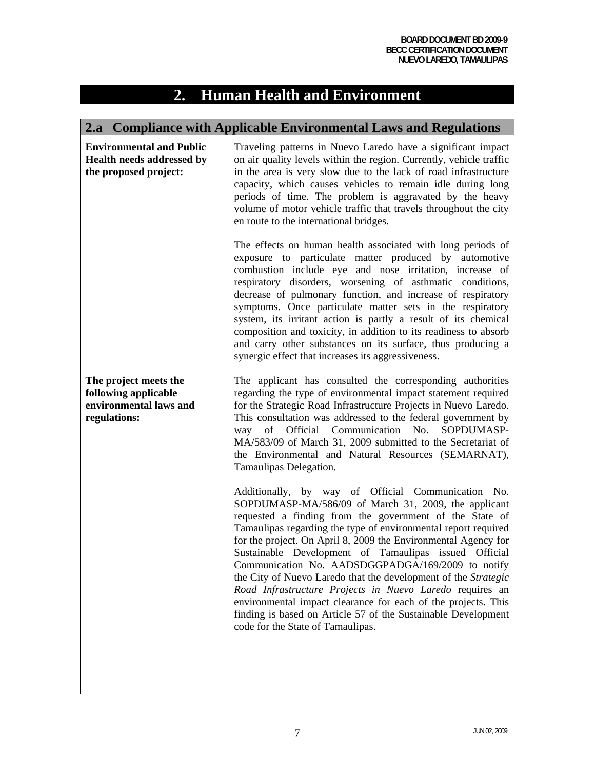### **2. Human Health and Environment**

### **2.a Compliance with Applicable Environmental Laws and Regulations**

**Environmental and Public Health needs addressed by the proposed project:** 

Traveling patterns in Nuevo Laredo have a significant impact on air quality levels within the region. Currently, vehicle traffic in the area is very slow due to the lack of road infrastructure capacity, which causes vehicles to remain idle during long periods of time. The problem is aggravated by the heavy volume of motor vehicle traffic that travels throughout the city en route to the international bridges.

The effects on human health associated with long periods of exposure to particulate matter produced by automotive combustion include eye and nose irritation, increase of respiratory disorders, worsening of asthmatic conditions, decrease of pulmonary function, and increase of respiratory symptoms. Once particulate matter sets in the respiratory system, its irritant action is partly a result of its chemical composition and toxicity, in addition to its readiness to absorb and carry other substances on its surface, thus producing a synergic effect that increases its aggressiveness.

**The project meets the following applicable environmental laws and regulations:** 

The applicant has consulted the corresponding authorities regarding the type of environmental impact statement required for the Strategic Road Infrastructure Projects in Nuevo Laredo. This consultation was addressed to the federal government by way of Official Communication No. SOPDUMASP-MA/583/09 of March 31, 2009 submitted to the Secretariat of the Environmental and Natural Resources (SEMARNAT), Tamaulipas Delegation.

Additionally, by way of Official Communication No. SOPDUMASP-MA/586/09 of March 31, 2009, the applicant requested a finding from the government of the State of Tamaulipas regarding the type of environmental report required for the project. On April 8, 2009 the Environmental Agency for Sustainable Development of Tamaulipas issued Official Communication No. AADSDGGPADGA/169/2009 to notify the City of Nuevo Laredo that the development of the *Strategic Road Infrastructure Projects in Nuevo Laredo* requires an environmental impact clearance for each of the projects. This finding is based on Article 57 of the Sustainable Development code for the State of Tamaulipas.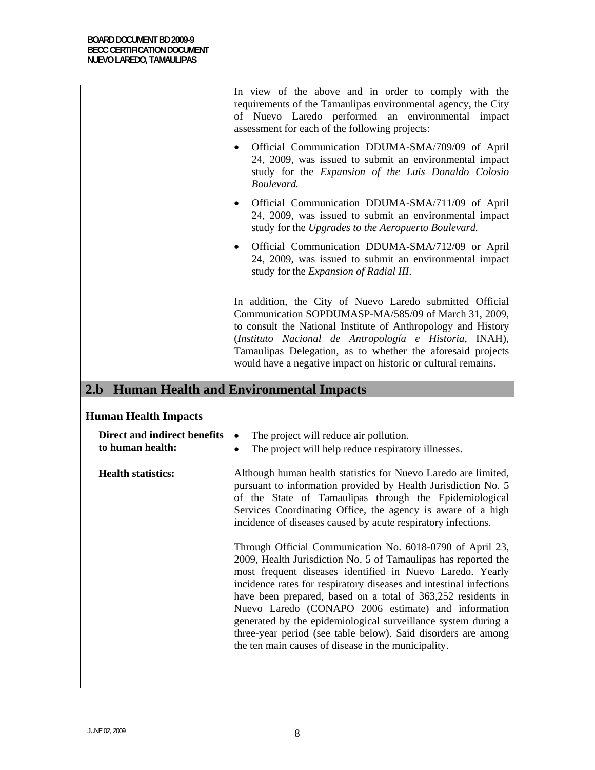In view of the above and in order to comply with the requirements of the Tamaulipas environmental agency, the City of Nuevo Laredo performed an environmental impact assessment for each of the following projects:

- Official Communication DDUMA-SMA/709/09 of April 24, 2009, was issued to submit an environmental impact study for the *Expansion of the Luis Donaldo Colosio Boulevard.*
- Official Communication DDUMA-SMA/711/09 of April 24, 2009, was issued to submit an environmental impact study for the *Upgrades to the Aeropuerto Boulevard.*
- Official Communication DDUMA-SMA/712/09 or April 24, 2009, was issued to submit an environmental impact study for the *Expansion of Radial III*.

In addition, the City of Nuevo Laredo submitted Official Communication SOPDUMASP-MA/585/09 of March 31, 2009, to consult the National Institute of Anthropology and History (*Instituto Nacional de Antropología e Historia*, INAH), Tamaulipas Delegation, as to whether the aforesaid projects would have a negative impact on historic or cultural remains.

### **2.b Human Health and Environmental Impacts**

### **Human Health Impacts**

| Direct and indirect benefits<br>to human health: | The project will reduce air pollution.<br>The project will help reduce respiratory illnesses.<br>$\bullet$                                                                                                                                                                                                                                                                                                                                                                                                                                                                     |
|--------------------------------------------------|--------------------------------------------------------------------------------------------------------------------------------------------------------------------------------------------------------------------------------------------------------------------------------------------------------------------------------------------------------------------------------------------------------------------------------------------------------------------------------------------------------------------------------------------------------------------------------|
| <b>Health statistics:</b>                        | Although human health statistics for Nuevo Laredo are limited,<br>pursuant to information provided by Health Jurisdiction No. 5<br>of the State of Tamaulipas through the Epidemiological<br>Services Coordinating Office, the agency is aware of a high<br>incidence of diseases caused by acute respiratory infections.                                                                                                                                                                                                                                                      |
|                                                  | Through Official Communication No. 6018-0790 of April 23,<br>2009, Health Jurisdiction No. 5 of Tamaulipas has reported the<br>most frequent diseases identified in Nuevo Laredo. Yearly<br>incidence rates for respiratory diseases and intestinal infections<br>have been prepared, based on a total of 363,252 residents in<br>Nuevo Laredo (CONAPO 2006 estimate) and information<br>generated by the epidemiological surveillance system during a<br>three-year period (see table below). Said disorders are among<br>the ten main causes of disease in the municipality. |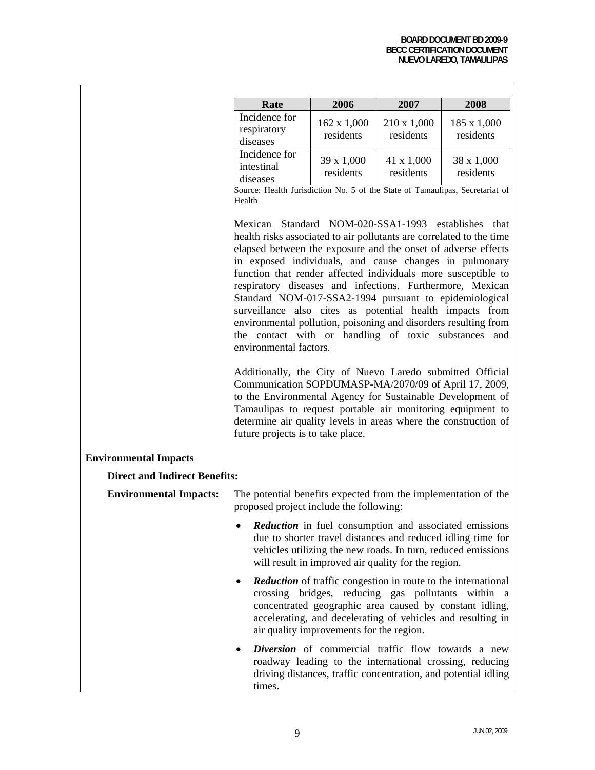| Rate                                     | 2006                     | 2007                     | 2008                     |
|------------------------------------------|--------------------------|--------------------------|--------------------------|
| Incidence for<br>respiratory<br>diseases | 162 x 1,000<br>residents | 210 x 1,000<br>residents | 185 x 1,000<br>residents |
| Incidence for<br>intestinal<br>diseases  | 39 x 1,000<br>residents  | 41 x 1,000<br>residents  | 38 x 1,000<br>residents  |

Source: Health Jurisdiction No. 5 of the State of Tamaulipas, Secretariat of Health

Mexican Standard NOM-020-SSA1-1993 establishes that health risks associated to air pollutants are correlated to the time elapsed between the exposure and the onset of adverse effects in exposed individuals, and cause changes in pulmonary function that render affected individuals more susceptible to respiratory diseases and infections. Furthermore, Mexican Standard NOM-017-SSA2-1994 pursuant to epidemiological surveillance also cites as potential health impacts from environmental pollution, poisoning and disorders resulting from the contact with or handling of toxic substances and environmental factors.

Additionally, the City of Nuevo Laredo submitted Official Communication SOPDUMASP-MA/2070/09 of April 17, 2009, to the Environmental Agency for Sustainable Development of Tamaulipas to request portable air monitoring equipment to determine air quality levels in areas where the construction of future projects is to take place.

### **Environmental Impacts**

### **Direct and Indirect Benefits:**

**Environmental Impacts:** The potential benefits expected from the implementation of the proposed project include the following:

- *Reduction* in fuel consumption and associated emissions due to shorter travel distances and reduced idling time for vehicles utilizing the new roads. In turn, reduced emissions will result in improved air quality for the region.
- **Reduction** of traffic congestion in route to the international crossing bridges, reducing gas pollutants within a concentrated geographic area caused by constant idling, accelerating, and decelerating of vehicles and resulting in air quality improvements for the region.
- *Diversion* of commercial traffic flow towards a new roadway leading to the international crossing, reducing driving distances, traffic concentration, and potential idling times.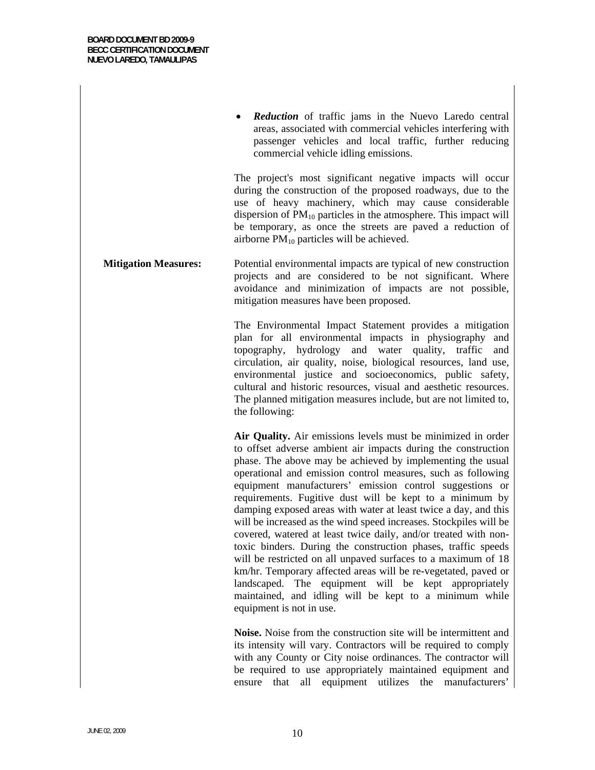**Reduction** of traffic jams in the Nuevo Laredo central areas, associated with commercial vehicles interfering with passenger vehicles and local traffic, further reducing commercial vehicle idling emissions.

The project's most significant negative impacts will occur during the construction of the proposed roadways, due to the use of heavy machinery, which may cause considerable dispersion of  $PM_{10}$  particles in the atmosphere. This impact will be temporary, as once the streets are paved a reduction of airborne  $PM_{10}$  particles will be achieved.

**Mitigation Measures:** Potential environmental impacts are typical of new construction projects and are considered to be not significant. Where avoidance and minimization of impacts are not possible, mitigation measures have been proposed.

> The Environmental Impact Statement provides a mitigation plan for all environmental impacts in physiography and topography, hydrology and water quality, traffic and circulation, air quality, noise, biological resources, land use, environmental justice and socioeconomics, public safety, cultural and historic resources, visual and aesthetic resources. The planned mitigation measures include, but are not limited to, the following:

> **Air Quality.** Air emissions levels must be minimized in order to offset adverse ambient air impacts during the construction phase. The above may be achieved by implementing the usual operational and emission control measures, such as following equipment manufacturers' emission control suggestions or requirements. Fugitive dust will be kept to a minimum by damping exposed areas with water at least twice a day, and this will be increased as the wind speed increases. Stockpiles will be covered, watered at least twice daily, and/or treated with nontoxic binders. During the construction phases, traffic speeds will be restricted on all unpaved surfaces to a maximum of 18 km/hr. Temporary affected areas will be re-vegetated, paved or landscaped. The equipment will be kept appropriately maintained, and idling will be kept to a minimum while equipment is not in use.

> **Noise.** Noise from the construction site will be intermittent and its intensity will vary. Contractors will be required to comply with any County or City noise ordinances. The contractor will be required to use appropriately maintained equipment and ensure that all equipment utilizes the manufacturers'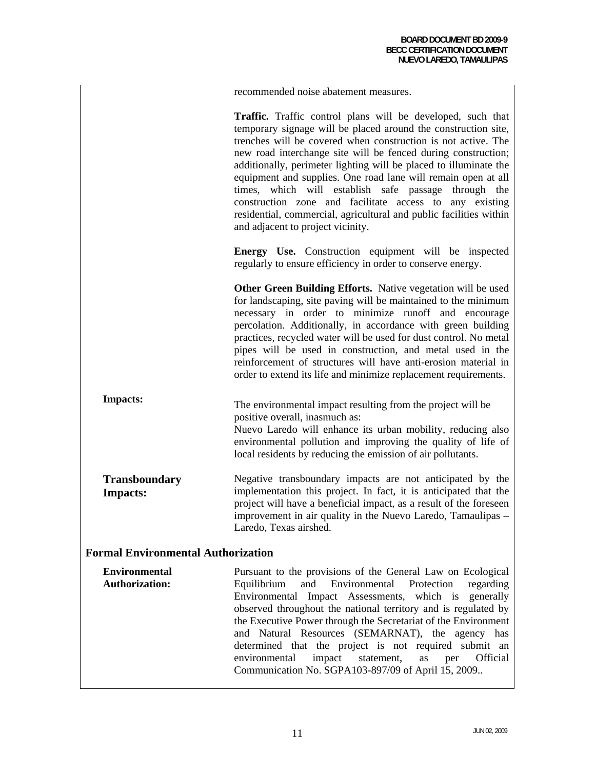recommended noise abatement measures.

**Traffic.** Traffic control plans will be developed, such that temporary signage will be placed around the construction site, trenches will be covered when construction is not active. The new road interchange site will be fenced during construction; additionally, perimeter lighting will be placed to illuminate the equipment and supplies. One road lane will remain open at all times, which will establish safe passage through the construction zone and facilitate access to any existing residential, commercial, agricultural and public facilities within and adjacent to project vicinity.

**Energy Use.** Construction equipment will be inspected regularly to ensure efficiency in order to conserve energy.

**Other Green Building Efforts.** Native vegetation will be used for landscaping, site paving will be maintained to the minimum necessary in order to minimize runoff and encourage percolation. Additionally, in accordance with green building practices, recycled water will be used for dust control. No metal pipes will be used in construction, and metal used in the reinforcement of structures will have anti-erosion material in order to extend its life and minimize replacement requirements.

**Impacts:** The environmental impact resulting from the project will be positive overall, inasmuch as: Nuevo Laredo will enhance its urban mobility, reducing also environmental pollution and improving the quality of life of local residents by reducing the emission of air pollutants.

**Transboundary Impacts:**  Negative transboundary impacts are not anticipated by the implementation this project. In fact, it is anticipated that the project will have a beneficial impact, as a result of the foreseen improvement in air quality in the Nuevo Laredo, Tamaulipas – Laredo, Texas airshed.

### **Formal Environmental Authorization**

|                                                                             | Pursuant to the provisions of the General Law on Ecological |
|-----------------------------------------------------------------------------|-------------------------------------------------------------|
| Equilibrium and Environmental Protection regarding<br><b>Authorization:</b> |                                                             |
| Environmental Impact Assessments, which is generally                        |                                                             |
| observed throughout the national territory and is regulated by              |                                                             |
| the Executive Power through the Secretariat of the Environment              |                                                             |
| and Natural Resources (SEMARNAT), the agency has                            |                                                             |
| determined that the project is not required submit an                       |                                                             |
| environmental<br>impact statement, as<br>per Official                       |                                                             |
| Communication No. SGPA103-897/09 of April 15, 2009                          |                                                             |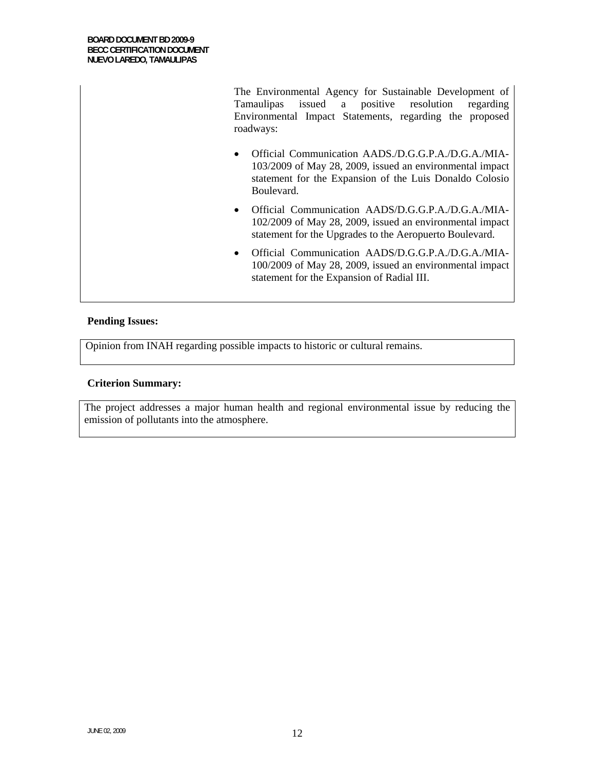The Environmental Agency for Sustainable Development of Tamaulipas issued a positive resolution regarding Environmental Impact Statements, regarding the proposed roadways:

- Official Communication AADS./D.G.G.P.A./D.G.A./MIA-103/2009 of May 28, 2009, issued an environmental impact statement for the Expansion of the Luis Donaldo Colosio Boulevard.
- Official Communication AADS/D.G.G.P.A./D.G.A./MIA-102/2009 of May 28, 2009, issued an environmental impact statement for the Upgrades to the Aeropuerto Boulevard.
- Official Communication AADS/D.G.G.P.A./D.G.A./MIA-100/2009 of May 28, 2009, issued an environmental impact statement for the Expansion of Radial III.

### **Pending Issues:**

Opinion from INAH regarding possible impacts to historic or cultural remains.

### **Criterion Summary:**

The project addresses a major human health and regional environmental issue by reducing the emission of pollutants into the atmosphere.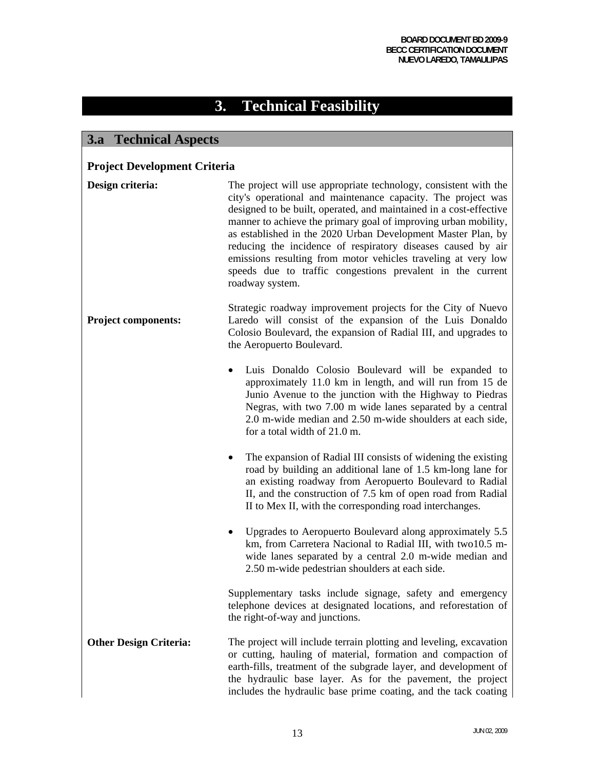# **3. Technical Feasibility**

### **3.a Technical Aspects**

### **Project Development Criteria**

| Design criteria:              | The project will use appropriate technology, consistent with the<br>city's operational and maintenance capacity. The project was<br>designed to be built, operated, and maintained in a cost-effective<br>manner to achieve the primary goal of improving urban mobility,<br>as established in the 2020 Urban Development Master Plan, by<br>reducing the incidence of respiratory diseases caused by air<br>emissions resulting from motor vehicles traveling at very low<br>speeds due to traffic congestions prevalent in the current<br>roadway system. |
|-------------------------------|-------------------------------------------------------------------------------------------------------------------------------------------------------------------------------------------------------------------------------------------------------------------------------------------------------------------------------------------------------------------------------------------------------------------------------------------------------------------------------------------------------------------------------------------------------------|
| <b>Project components:</b>    | Strategic roadway improvement projects for the City of Nuevo<br>Laredo will consist of the expansion of the Luis Donaldo<br>Colosio Boulevard, the expansion of Radial III, and upgrades to<br>the Aeropuerto Boulevard.                                                                                                                                                                                                                                                                                                                                    |
|                               | Luis Donaldo Colosio Boulevard will be expanded to<br>$\bullet$<br>approximately 11.0 km in length, and will run from 15 de<br>Junio Avenue to the junction with the Highway to Piedras<br>Negras, with two 7.00 m wide lanes separated by a central<br>2.0 m-wide median and 2.50 m-wide shoulders at each side,<br>for a total width of 21.0 m.                                                                                                                                                                                                           |
|                               | The expansion of Radial III consists of widening the existing<br>road by building an additional lane of 1.5 km-long lane for<br>an existing roadway from Aeropuerto Boulevard to Radial<br>II, and the construction of 7.5 km of open road from Radial<br>II to Mex II, with the corresponding road interchanges.                                                                                                                                                                                                                                           |
|                               | Upgrades to Aeropuerto Boulevard along approximately 5.5<br>٠<br>km, from Carretera Nacional to Radial III, with two10.5 m-<br>wide lanes separated by a central 2.0 m-wide median and<br>2.50 m-wide pedestrian shoulders at each side.                                                                                                                                                                                                                                                                                                                    |
|                               | Supplementary tasks include signage, safety and emergency<br>telephone devices at designated locations, and reforestation of<br>the right-of-way and junctions.                                                                                                                                                                                                                                                                                                                                                                                             |
| <b>Other Design Criteria:</b> | The project will include terrain plotting and leveling, excavation<br>or cutting, hauling of material, formation and compaction of<br>earth-fills, treatment of the subgrade layer, and development of<br>the hydraulic base layer. As for the pavement, the project<br>includes the hydraulic base prime coating, and the tack coating                                                                                                                                                                                                                     |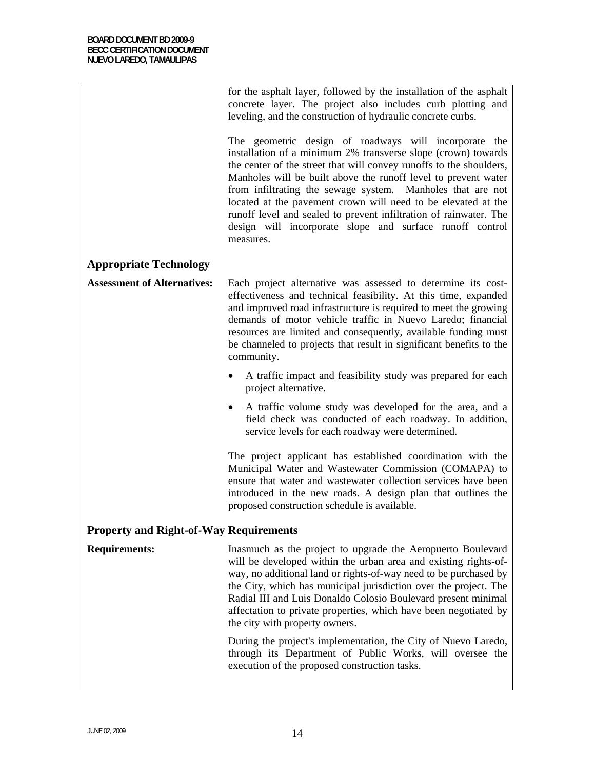|                                               | for the asphalt layer, followed by the installation of the asphalt<br>concrete layer. The project also includes curb plotting and<br>leveling, and the construction of hydraulic concrete curbs.                                                                                                                                                                                                                                                                                                                                             |  |
|-----------------------------------------------|----------------------------------------------------------------------------------------------------------------------------------------------------------------------------------------------------------------------------------------------------------------------------------------------------------------------------------------------------------------------------------------------------------------------------------------------------------------------------------------------------------------------------------------------|--|
|                                               | The geometric design of roadways will incorporate the<br>installation of a minimum 2% transverse slope (crown) towards<br>the center of the street that will convey runoffs to the shoulders,<br>Manholes will be built above the runoff level to prevent water<br>from infiltrating the sewage system. Manholes that are not<br>located at the pavement crown will need to be elevated at the<br>runoff level and sealed to prevent infiltration of rainwater. The<br>design will incorporate slope and surface runoff control<br>measures. |  |
| <b>Appropriate Technology</b>                 |                                                                                                                                                                                                                                                                                                                                                                                                                                                                                                                                              |  |
| <b>Assessment of Alternatives:</b>            | Each project alternative was assessed to determine its cost-<br>effectiveness and technical feasibility. At this time, expanded<br>and improved road infrastructure is required to meet the growing<br>demands of motor vehicle traffic in Nuevo Laredo; financial<br>resources are limited and consequently, available funding must<br>be channeled to projects that result in significant benefits to the<br>community.                                                                                                                    |  |
|                                               | A traffic impact and feasibility study was prepared for each<br>project alternative.                                                                                                                                                                                                                                                                                                                                                                                                                                                         |  |
|                                               | A traffic volume study was developed for the area, and a<br>٠<br>field check was conducted of each roadway. In addition,<br>service levels for each roadway were determined.                                                                                                                                                                                                                                                                                                                                                                 |  |
|                                               | The project applicant has established coordination with the<br>Municipal Water and Wastewater Commission (COMAPA) to<br>ensure that water and wastewater collection services have been<br>introduced in the new roads. A design plan that outlines the<br>proposed construction schedule is available.                                                                                                                                                                                                                                       |  |
| <b>Property and Right-of-Way Requirements</b> |                                                                                                                                                                                                                                                                                                                                                                                                                                                                                                                                              |  |
| <b>Requirements:</b>                          | Inasmuch as the project to upgrade the Aeropuerto Boulevard<br>will be developed within the urban area and existing rights-of-<br>way, no additional land or rights-of-way need to be purchased by<br>the City, which has municipal jurisdiction over the project. The<br>Radial III and Luis Donaldo Colosio Boulevard present minimal<br>affectation to private properties, which have been negotiated by<br>the city with property owners.                                                                                                |  |
|                                               | During the project's implementation, the City of Nuevo Laredo,<br>through its Department of Public Works, will oversee the<br>execution of the proposed construction tasks.                                                                                                                                                                                                                                                                                                                                                                  |  |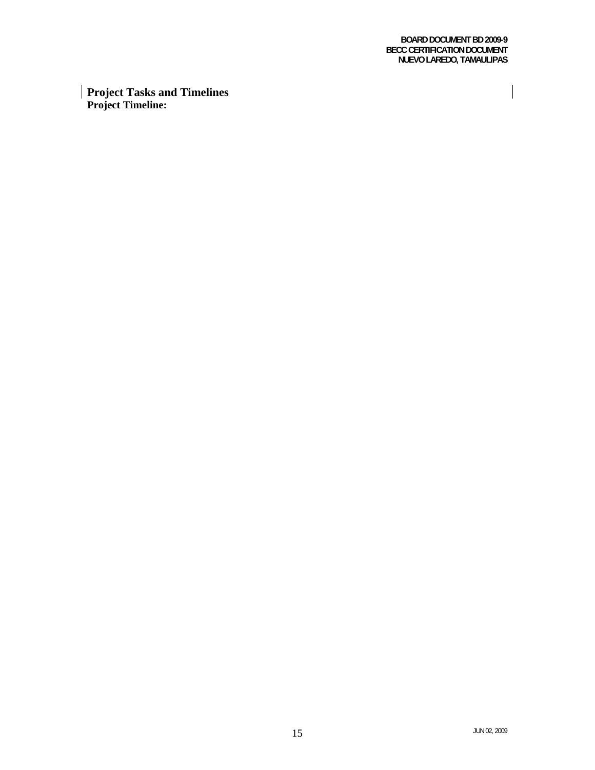**BOARD DOCUMENT BD 2009-9 BECC CERTIFICATION DOCUMENT NUEVO LAREDO, TAMAULIPAS** 

 $\overline{\phantom{a}}$ 

**Project Tasks and Timelines Project Timeline:**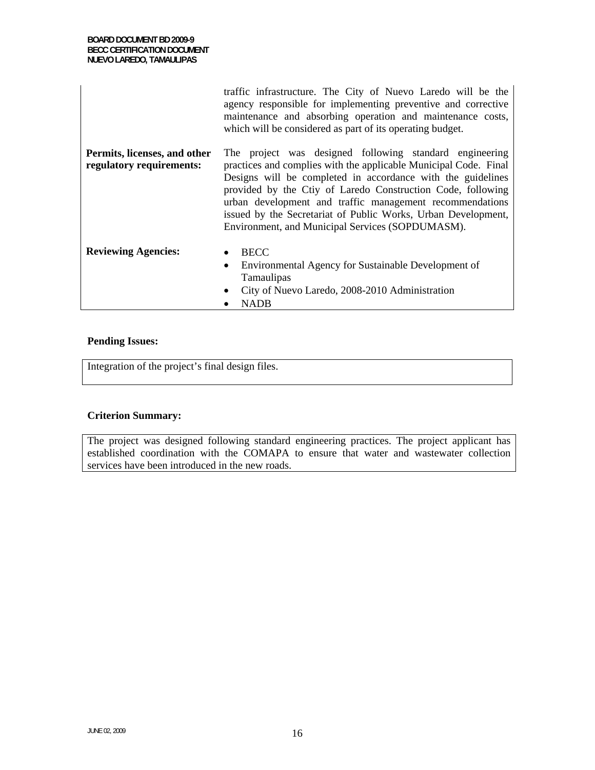|                                                          | traffic infrastructure. The City of Nuevo Laredo will be the<br>agency responsible for implementing preventive and corrective<br>maintenance and absorbing operation and maintenance costs,<br>which will be considered as part of its operating budget.                                                                                                                                                                                   |
|----------------------------------------------------------|--------------------------------------------------------------------------------------------------------------------------------------------------------------------------------------------------------------------------------------------------------------------------------------------------------------------------------------------------------------------------------------------------------------------------------------------|
| Permits, licenses, and other<br>regulatory requirements: | The project was designed following standard engineering<br>practices and complies with the applicable Municipal Code. Final<br>Designs will be completed in accordance with the guidelines<br>provided by the Ctiy of Laredo Construction Code, following<br>urban development and traffic management recommendations<br>issued by the Secretariat of Public Works, Urban Development,<br>Environment, and Municipal Services (SOPDUMASM). |
| <b>Reviewing Agencies:</b>                               | <b>BECC</b><br>$\bullet$<br>Environmental Agency for Sustainable Development of<br>$\bullet$<br>Tamaulipas<br>City of Nuevo Laredo, 2008-2010 Administration<br><b>NADB</b>                                                                                                                                                                                                                                                                |

### **Pending Issues:**

Integration of the project's final design files.

### **Criterion Summary:**

The project was designed following standard engineering practices. The project applicant has established coordination with the COMAPA to ensure that water and wastewater collection services have been introduced in the new roads.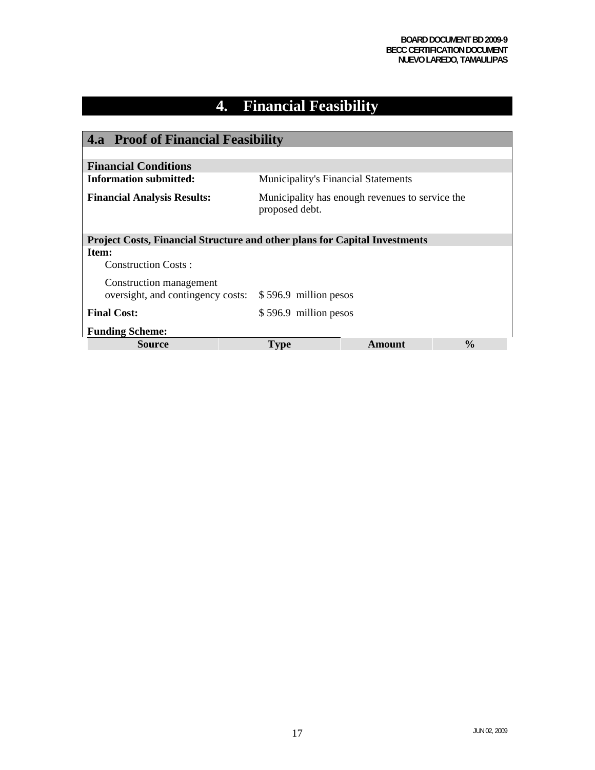# **4. Financial Feasibility**

| <b>4.a</b> Proof of Financial Feasibility                                         |                                            |                                                 |               |
|-----------------------------------------------------------------------------------|--------------------------------------------|-------------------------------------------------|---------------|
|                                                                                   |                                            |                                                 |               |
| <b>Financial Conditions</b>                                                       |                                            |                                                 |               |
| <b>Information submitted:</b>                                                     | <b>Municipality's Financial Statements</b> |                                                 |               |
| <b>Financial Analysis Results:</b>                                                | proposed debt.                             | Municipality has enough revenues to service the |               |
| <b>Project Costs, Financial Structure and other plans for Capital Investments</b> |                                            |                                                 |               |
| Item:                                                                             |                                            |                                                 |               |
| <b>Construction Costs:</b>                                                        |                                            |                                                 |               |
| Construction management<br>oversight, and contingency costs:                      | \$596.9 million pesos                      |                                                 |               |
| <b>Final Cost:</b>                                                                | \$596.9 million pesos                      |                                                 |               |
| <b>Funding Scheme:</b>                                                            |                                            |                                                 |               |
| Source                                                                            | <b>Type</b>                                | Amount                                          | $\frac{0}{0}$ |

 $\overline{\phantom{a}}$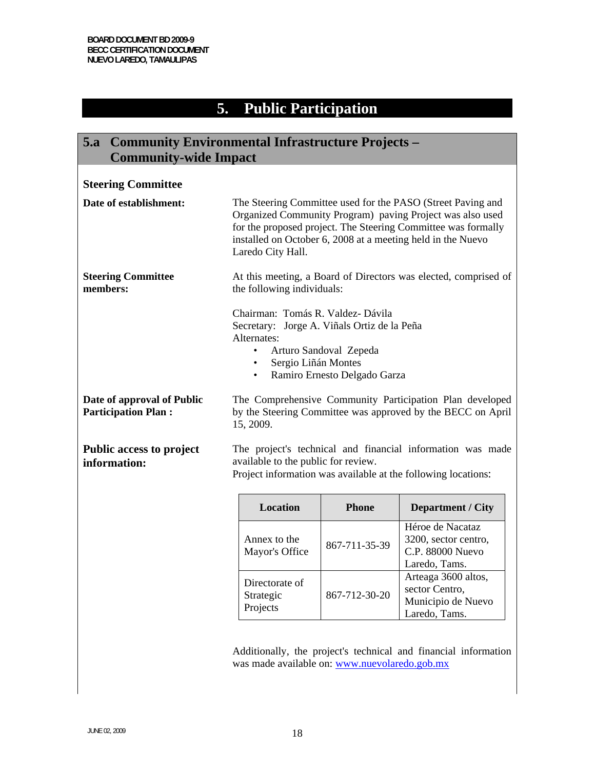### **5. Public Participation**

### **5.a Community Environmental Infrastructure Projects – Community-wide Impact Steering Committee Date of establishment:** The Steering Committee used for the PASO (Street Paving and Organized Community Program) paving Project was also used for the proposed project. The Steering Committee was formally installed on October 6, 2008 at a meeting held in the Nuevo Laredo City Hall. **Steering Committee members:**  At this meeting, a Board of Directors was elected, comprised of the following individuals: Chairman: Tomás R. Valdez- Dávila Secretary: Jorge A. Viñals Ortiz de la Peña Alternates: • Arturo Sandoval Zepeda • Sergio Liñán Montes • Ramiro Ernesto Delgado Garza **Date of approval of Public Participation Plan :** The Comprehensive Community Participation Plan developed by the Steering Committee was approved by the BECC on April 15, 2009. **Public access to project information:** The project's technical and financial information was made available to the public for review. Project information was available at the following locations: **Location Phone Department / City**  Annex to the  $M$ ayor's Office  $\left| \frac{867-711-35-39}{867-711-35-39} \right|$ Héroe de Nacataz 3200, sector centro, C.P. 88000 Nuevo Laredo, Tams. Directorate of Strategic Projects 867-712-30-20 Arteaga 3600 altos, sector Centro, Municipio de Nuevo Laredo, Tams.

Additionally, the project's technical and financial information was made available on: www.nuevolaredo.gob.mx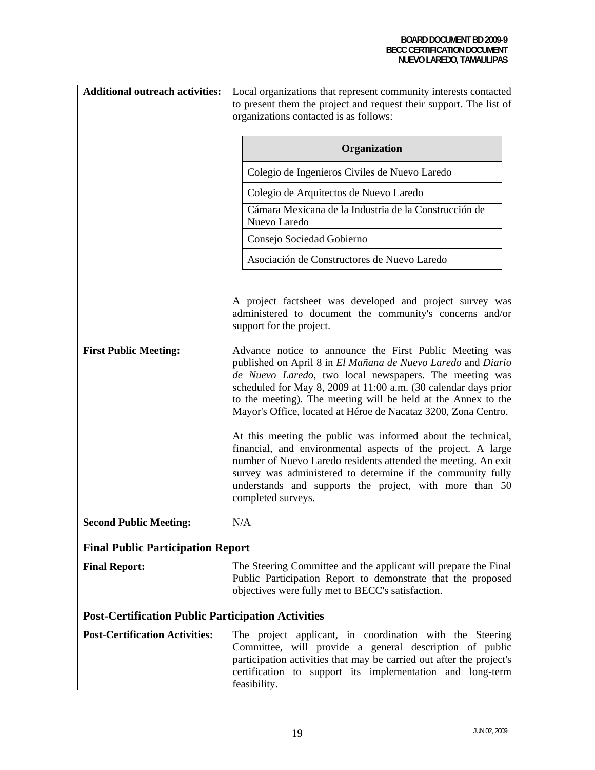| <b>Additional outreach activities:</b>                    | Local organizations that represent community interests contacted<br>to present them the project and request their support. The list of<br>organizations contacted is as follows:                                                                                                                                                                                                        |  |
|-----------------------------------------------------------|-----------------------------------------------------------------------------------------------------------------------------------------------------------------------------------------------------------------------------------------------------------------------------------------------------------------------------------------------------------------------------------------|--|
|                                                           | Organization                                                                                                                                                                                                                                                                                                                                                                            |  |
|                                                           | Colegio de Ingenieros Civiles de Nuevo Laredo                                                                                                                                                                                                                                                                                                                                           |  |
|                                                           | Colegio de Arquitectos de Nuevo Laredo                                                                                                                                                                                                                                                                                                                                                  |  |
|                                                           | Cámara Mexicana de la Industria de la Construcción de<br>Nuevo Laredo                                                                                                                                                                                                                                                                                                                   |  |
|                                                           | Consejo Sociedad Gobierno                                                                                                                                                                                                                                                                                                                                                               |  |
|                                                           | Asociación de Constructores de Nuevo Laredo                                                                                                                                                                                                                                                                                                                                             |  |
|                                                           | A project factsheet was developed and project survey was<br>administered to document the community's concerns and/or<br>support for the project.                                                                                                                                                                                                                                        |  |
| <b>First Public Meeting:</b>                              | Advance notice to announce the First Public Meeting was<br>published on April 8 in El Mañana de Nuevo Laredo and Diario<br>de Nuevo Laredo, two local newspapers. The meeting was<br>scheduled for May 8, 2009 at 11:00 a.m. (30 calendar days prior<br>to the meeting). The meeting will be held at the Annex to the<br>Mayor's Office, located at Héroe de Nacataz 3200, Zona Centro. |  |
|                                                           | At this meeting the public was informed about the technical,<br>financial, and environmental aspects of the project. A large<br>number of Nuevo Laredo residents attended the meeting. An exit<br>survey was administered to determine if the community fully<br>understands and supports the project, with more than 50<br>completed surveys.                                          |  |
| <b>Second Public Meeting:</b>                             | N/A                                                                                                                                                                                                                                                                                                                                                                                     |  |
| <b>Final Public Participation Report</b>                  |                                                                                                                                                                                                                                                                                                                                                                                         |  |
| <b>Final Report:</b>                                      | The Steering Committee and the applicant will prepare the Final<br>Public Participation Report to demonstrate that the proposed<br>objectives were fully met to BECC's satisfaction.                                                                                                                                                                                                    |  |
| <b>Post-Certification Public Participation Activities</b> |                                                                                                                                                                                                                                                                                                                                                                                         |  |
| <b>Post-Certification Activities:</b>                     | The project applicant, in coordination with the Steering<br>Committee, will provide a general description of public<br>participation activities that may be carried out after the project's<br>certification to support its implementation and long-term<br>feasibility.                                                                                                                |  |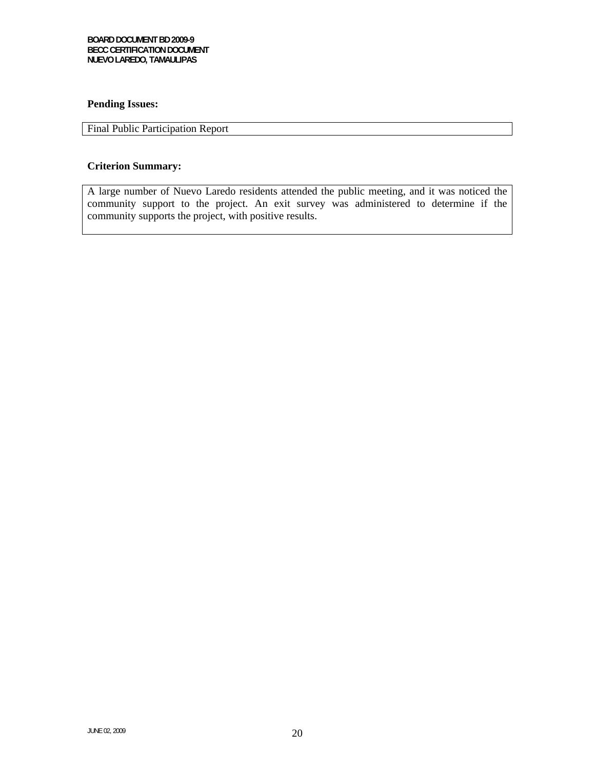### **Pending Issues:**

### Final Public Participation Report

### **Criterion Summary:**

A large number of Nuevo Laredo residents attended the public meeting, and it was noticed the community support to the project. An exit survey was administered to determine if the community supports the project, with positive results.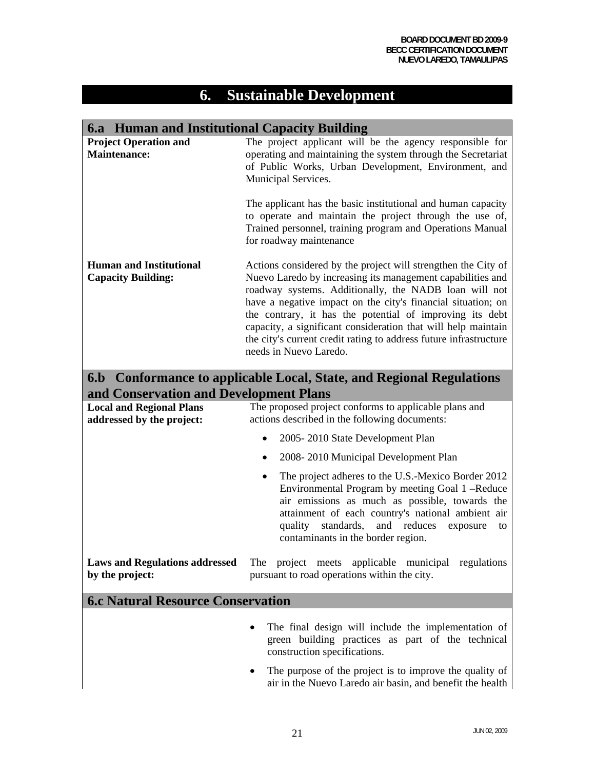## **6. Sustainable Development**

# **6.a Human and Institutional Capacity Building**

| <b>Project Operation and</b><br><b>Maintenance:</b>                                                            | The project applicant will be the agency responsible for<br>operating and maintaining the system through the Secretariat<br>of Public Works, Urban Development, Environment, and<br>Municipal Services.                                                                                                                                                                                                                                                                          |
|----------------------------------------------------------------------------------------------------------------|----------------------------------------------------------------------------------------------------------------------------------------------------------------------------------------------------------------------------------------------------------------------------------------------------------------------------------------------------------------------------------------------------------------------------------------------------------------------------------|
|                                                                                                                | The applicant has the basic institutional and human capacity<br>to operate and maintain the project through the use of,<br>Trained personnel, training program and Operations Manual<br>for roadway maintenance                                                                                                                                                                                                                                                                  |
| <b>Human and Institutional</b><br><b>Capacity Building:</b>                                                    | Actions considered by the project will strengthen the City of<br>Nuevo Laredo by increasing its management capabilities and<br>roadway systems. Additionally, the NADB loan will not<br>have a negative impact on the city's financial situation; on<br>the contrary, it has the potential of improving its debt<br>capacity, a significant consideration that will help maintain<br>the city's current credit rating to address future infrastructure<br>needs in Nuevo Laredo. |
| 6.b Conformance to applicable Local, State, and Regional Regulations<br>and Conservation and Development Plans |                                                                                                                                                                                                                                                                                                                                                                                                                                                                                  |
| <b>Local and Regional Plans</b><br>addressed by the project:                                                   | The proposed project conforms to applicable plans and<br>actions described in the following documents:                                                                                                                                                                                                                                                                                                                                                                           |
|                                                                                                                | 2005-2010 State Development Plan                                                                                                                                                                                                                                                                                                                                                                                                                                                 |
|                                                                                                                | 2008-2010 Municipal Development Plan<br>$\bullet$                                                                                                                                                                                                                                                                                                                                                                                                                                |
|                                                                                                                | The project adheres to the U.S.-Mexico Border 2012<br>٠<br>Environmental Program by meeting Goal 1 -Reduce<br>air emissions as much as possible, towards the<br>attainment of each country's national ambient air<br>standards,<br>and reduces<br>quality<br>exposure<br>to<br>contaminants in the border region.                                                                                                                                                                |
| <b>Laws and Regulations addressed</b><br>by the project:                                                       | project meets<br>municipal regulations<br>The<br>applicable<br>pursuant to road operations within the city.                                                                                                                                                                                                                                                                                                                                                                      |
| <b>6.c Natural Resource Conservation</b>                                                                       |                                                                                                                                                                                                                                                                                                                                                                                                                                                                                  |
|                                                                                                                | The final design will include the implementation of<br>green building practices as part of the technical<br>construction specifications.                                                                                                                                                                                                                                                                                                                                         |
|                                                                                                                | The purpose of the project is to improve the quality of<br>air in the Nuevo Laredo air basin, and benefit the health                                                                                                                                                                                                                                                                                                                                                             |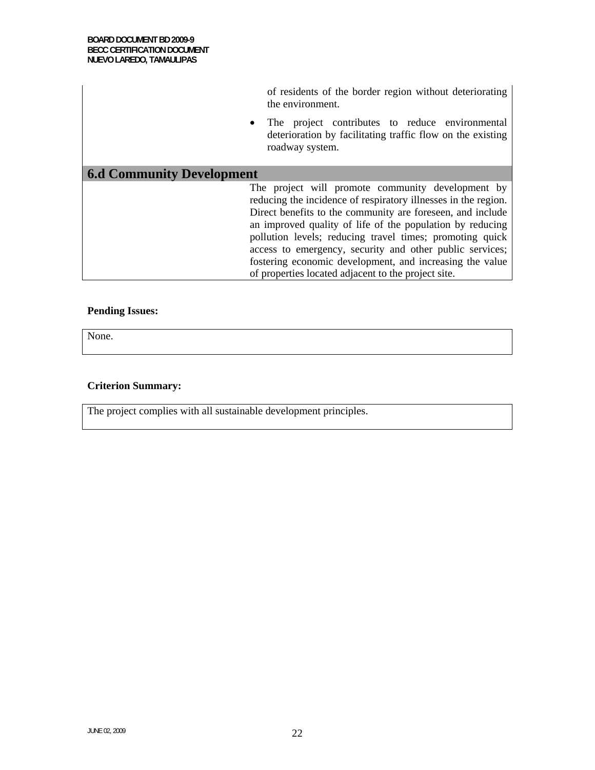|                                  | of residents of the border region without deteriorating<br>the environment.                                                                                                                                                                                                                                                                                                                                                                                                               |
|----------------------------------|-------------------------------------------------------------------------------------------------------------------------------------------------------------------------------------------------------------------------------------------------------------------------------------------------------------------------------------------------------------------------------------------------------------------------------------------------------------------------------------------|
| $\bullet$                        | The project contributes to reduce environmental<br>deterioration by facilitating traffic flow on the existing<br>roadway system.                                                                                                                                                                                                                                                                                                                                                          |
| <b>6.d Community Development</b> |                                                                                                                                                                                                                                                                                                                                                                                                                                                                                           |
|                                  | The project will promote community development by<br>reducing the incidence of respiratory illnesses in the region.<br>Direct benefits to the community are foreseen, and include<br>an improved quality of life of the population by reducing<br>pollution levels; reducing travel times; promoting quick<br>access to emergency, security and other public services;<br>fostering economic development, and increasing the value<br>of properties located adjacent to the project site. |

### **Pending Issues:**

None.

### **Criterion Summary:**

The project complies with all sustainable development principles.